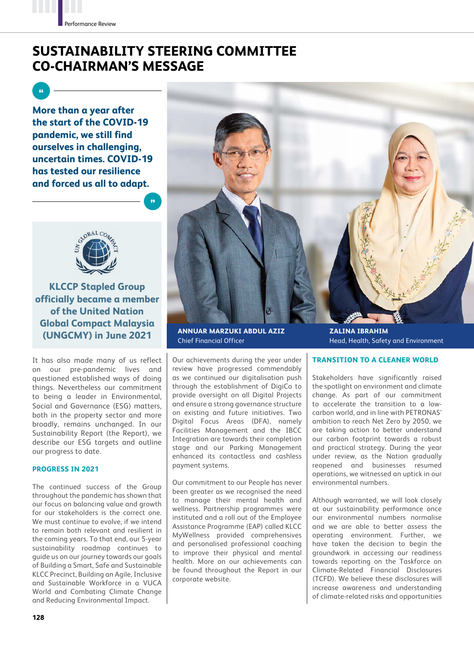# **SUSTAINABILITY STEERING COMMITTEE CO-CHAIRMAN'S MESSAGE**

**More than a year after the start of the COVID-19 pandemic, we still find ourselves in challenging, uncertain times. COVID-19 has tested our resilience and forced us all to adapt.** 



**KLCCP Stapled Group officially became a member of the United Nation Global Compact Malaysia (UNGCMY) in June 2021 ZALINA IBRAHIM**

It has also made many of us reflect on our pre-pandemic lives and questioned established ways of doing things. Nevertheless our commitment to being a leader in Environmental, Social and Governance (ESG) matters, both in the property sector and more broadly, remains unchanged. In our Sustainability Report (the Report), we describe our ESG targets and outline our progress to date.

### **PROGRESS IN 2021**

The continued success of the Group throughout the pandemic has shown that our focus on balancing value and growth for our stakeholders is the correct one. We must continue to evolve, if we intend to remain both relevant and resilient in the coming years. To that end, our 5-year sustainability roadmap continues to guide us on our journey towards our goals of Building a Smart, Safe and Sustainable KLCC Precinct, Building an Agile, Inclusive and Sustainable Workforce in a VUCA World and Combating Climate Change and Reducing Environmental Impact.



**ANNUAR MARZUKI ABDUL AZIZ** Chief Financial Officer

Our achievements during the year under review have progressed commendably as we continued our digitalisation push through the establishment of DigiCo to provide oversight on all Digital Projects and ensure a strong governance structure on existing and future initiatives. Two Digital Focus Areas (DFA), namely Facilities Management and the IBCC Integration are towards their completion stage and our Parking Management enhanced its contactless and cashless payment systems.

Our commitment to our People has never been greater as we recognised the need to manage their mental health and wellness. Partnership programmes were instituted and a roll out of the Employee Assistance Programme (EAP) called KLCC MyWellness provided comprehensives and personalised professional coaching to improve their physical and mental health. More on our achievements can be found throughout the Report in our corporate website.

Head, Health, Safety and Environment

## **TRANSITION TO A CLEANER WORLD**

Stakeholders have significantly raised the spotlight on environment and climate change. As part of our commitment to accelerate the transition to a lowcarbon world, and in line with PETRONAS' ambition to reach Net Zero by 2050, we are taking action to better understand our carbon footprint towards a robust and practical strategy. During the year under review, as the Nation gradually reopened and businesses resumed operations, we witnessed an uptick in our environmental numbers.

Although warranted, we will look closely at our sustainability performance once our environmental numbers normalise and we are able to better assess the operating environment. Further, we have taken the decision to begin the groundwork in accessing our readiness towards reporting on the Taskforce on Climate-Related Financial Disclosures (TCFD). We believe these disclosures will increase awareness and understanding of climate-related risks and opportunities